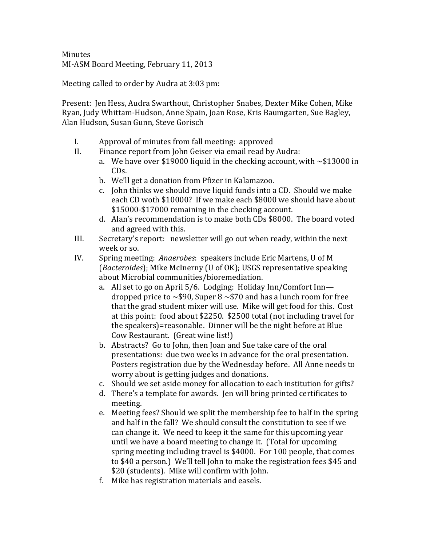**Minutes** MI-ASM Board Meeting, February 11, 2013

Meeting called to order by Audra at 3:03 pm:

Present: Jen Hess, Audra Swarthout, Christopher Snabes, Dexter Mike Cohen, Mike Ryan, Judy Whittam-Hudson, Anne Spain, Joan Rose, Kris Baumgarten, Sue Bagley, Alan Hudson, Susan Gunn, Steve Gorisch

- I. Approval of minutes from fall meeting: approved
- II. Finance report from John Geiser via email read by Audra:
	- a. We have over \$19000 liquid in the checking account, with  $\sim$ \$13000 in CDs.
	- b. We'll get a donation from Pfizer in Kalamazoo.
	- c. John thinks we should move liquid funds into a CD. Should we make each CD woth \$10000? If we make each \$8000 we should have about \$15000-\$17000 remaining in the checking account.
	- d. Alan's recommendation is to make both CDs \$8000. The board voted and agreed with this.
- III. Secretary's report: newsletter will go out when ready, within the next week or so.
- IV. Spring meeting: *Anaerobes*: speakers include Eric Martens, U of M (*Bacteroides*); Mike McInerny (U of OK); USGS representative speaking about Microbial communities/bioremediation.
	- a. All set to go on April  $5/6$ . Lodging: Holiday Inn/Comfort Inndropped price to  $\sim$ \$90, Super 8  $\sim$ \$70 and has a lunch room for free that the grad student mixer will use. Mike will get food for this. Cost at this point: food about \$2250. \$2500 total (not including travel for the speakers)=reasonable. Dinner will be the night before at Blue Cow Restaurant. (Great wine list!)
	- b. Abstracts? Go to John, then Joan and Sue take care of the oral presentations: due two weeks in advance for the oral presentation. Posters registration due by the Wednesday before. All Anne needs to worry about is getting judges and donations.
	- c. Should we set aside money for allocation to each institution for gifts?
	- d. There's a template for awards. Jen will bring printed certificates to meeting.
	- e. Meeting fees? Should we split the membership fee to half in the spring and half in the fall? We should consult the constitution to see if we can change it. We need to keep it the same for this upcoming year until we have a board meeting to change it. (Total for upcoming spring meeting including travel is \$4000. For 100 people, that comes to \$40 a person.) We'll tell John to make the registration fees \$45 and \$20 (students). Mike will confirm with John.
	- f. Mike has registration materials and easels.